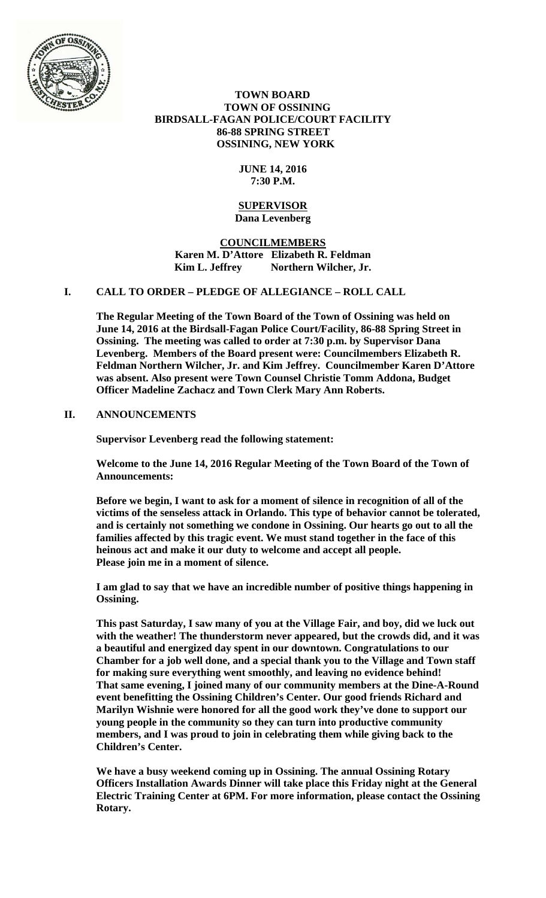

 **TOWN BOARD TOWN OF OSSINING BIRDSALL-FAGAN POLICE/COURT FACILITY 86-88 SPRING STREET OSSINING, NEW YORK** 

## **JUNE 14, 2016 7:30 P.M.**

#### **SUPERVISOR Dana Levenberg**

**COUNCILMEMBERS Karen M. D'Attore Elizabeth R. Feldman**  Kim L. Jeffrey Northern Wilcher, Jr.

## **I. CALL TO ORDER – PLEDGE OF ALLEGIANCE – ROLL CALL**

**The Regular Meeting of the Town Board of the Town of Ossining was held on June 14, 2016 at the Birdsall-Fagan Police Court/Facility, 86-88 Spring Street in Ossining. The meeting was called to order at 7:30 p.m. by Supervisor Dana Levenberg. Members of the Board present were: Councilmembers Elizabeth R. Feldman Northern Wilcher, Jr. and Kim Jeffrey. Councilmember Karen D'Attore was absent. Also present were Town Counsel Christie Tomm Addona, Budget Officer Madeline Zachacz and Town Clerk Mary Ann Roberts.** 

## **II. ANNOUNCEMENTS**

**Supervisor Levenberg read the following statement:** 

**Welcome to the June 14, 2016 Regular Meeting of the Town Board of the Town of Announcements:** 

**Before we begin, I want to ask for a moment of silence in recognition of all of the victims of the senseless attack in Orlando. This type of behavior cannot be tolerated, and is certainly not something we condone in Ossining. Our hearts go out to all the families affected by this tragic event. We must stand together in the face of this heinous act and make it our duty to welcome and accept all people. Please join me in a moment of silence.** 

**I am glad to say that we have an incredible number of positive things happening in Ossining.** 

**This past Saturday, I saw many of you at the Village Fair, and boy, did we luck out with the weather! The thunderstorm never appeared, but the crowds did, and it was a beautiful and energized day spent in our downtown. Congratulations to our Chamber for a job well done, and a special thank you to the Village and Town staff for making sure everything went smoothly, and leaving no evidence behind! That same evening, I joined many of our community members at the Dine-A-Round event benefitting the Ossining Children's Center. Our good friends Richard and Marilyn Wishnie were honored for all the good work they've done to support our young people in the community so they can turn into productive community members, and I was proud to join in celebrating them while giving back to the Children's Center.** 

**We have a busy weekend coming up in Ossining. The annual Ossining Rotary Officers Installation Awards Dinner will take place this Friday night at the General Electric Training Center at 6PM. For more information, please contact the Ossining Rotary.**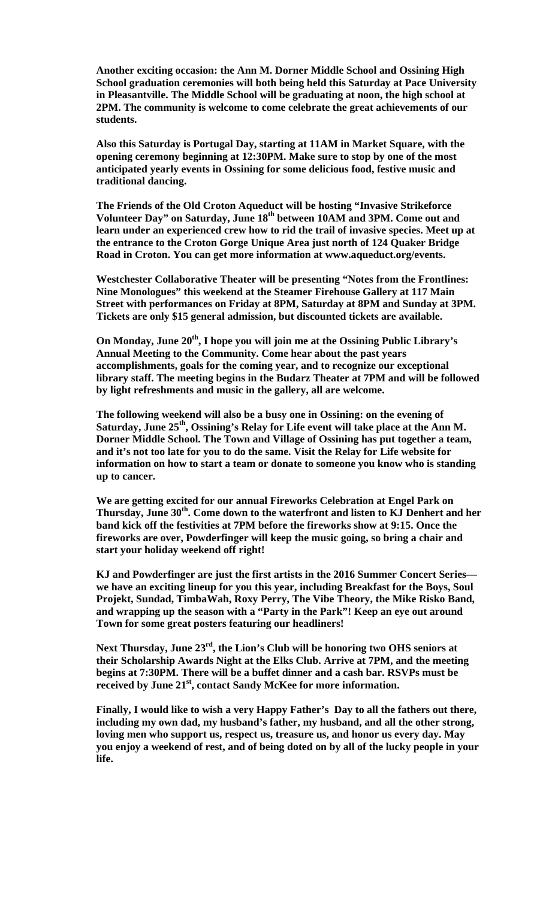**Another exciting occasion: the Ann M. Dorner Middle School and Ossining High School graduation ceremonies will both being held this Saturday at Pace University in Pleasantville. The Middle School will be graduating at noon, the high school at 2PM. The community is welcome to come celebrate the great achievements of our students.** 

**Also this Saturday is Portugal Day, starting at 11AM in Market Square, with the opening ceremony beginning at 12:30PM. Make sure to stop by one of the most anticipated yearly events in Ossining for some delicious food, festive music and traditional dancing.** 

**The Friends of the Old Croton Aqueduct will be hosting "Invasive Strikeforce Volunteer Day" on Saturday, June 18th between 10AM and 3PM. Come out and learn under an experienced crew how to rid the trail of invasive species. Meet up at the entrance to the Croton Gorge Unique Area just north of 124 Quaker Bridge Road in Croton. You can get more information at www.aqueduct.org/events.** 

**Westchester Collaborative Theater will be presenting "Notes from the Frontlines: Nine Monologues" this weekend at the Steamer Firehouse Gallery at 117 Main Street with performances on Friday at 8PM, Saturday at 8PM and Sunday at 3PM. Tickets are only \$15 general admission, but discounted tickets are available.** 

**On Monday, June 20th, I hope you will join me at the Ossining Public Library's Annual Meeting to the Community. Come hear about the past years accomplishments, goals for the coming year, and to recognize our exceptional library staff. The meeting begins in the Budarz Theater at 7PM and will be followed by light refreshments and music in the gallery, all are welcome.** 

**The following weekend will also be a busy one in Ossining: on the evening of Saturday, June 25th, Ossining's Relay for Life event will take place at the Ann M. Dorner Middle School. The Town and Village of Ossining has put together a team, and it's not too late for you to do the same. Visit the Relay for Life website for information on how to start a team or donate to someone you know who is standing up to cancer.** 

**We are getting excited for our annual Fireworks Celebration at Engel Park on Thursday, June 30th. Come down to the waterfront and listen to KJ Denhert and her band kick off the festivities at 7PM before the fireworks show at 9:15. Once the fireworks are over, Powderfinger will keep the music going, so bring a chair and start your holiday weekend off right!** 

**KJ and Powderfinger are just the first artists in the 2016 Summer Concert Series we have an exciting lineup for you this year, including Breakfast for the Boys, Soul Projekt, Sundad, TimbaWah, Roxy Perry, The Vibe Theory, the Mike Risko Band, and wrapping up the season with a "Party in the Park"! Keep an eye out around Town for some great posters featuring our headliners!** 

**Next Thursday, June 23rd, the Lion's Club will be honoring two OHS seniors at their Scholarship Awards Night at the Elks Club. Arrive at 7PM, and the meeting begins at 7:30PM. There will be a buffet dinner and a cash bar. RSVPs must be received by June 21st, contact Sandy McKee for more information.** 

**Finally, I would like to wish a very Happy Father's Day to all the fathers out there, including my own dad, my husband's father, my husband, and all the other strong, loving men who support us, respect us, treasure us, and honor us every day. May you enjoy a weekend of rest, and of being doted on by all of the lucky people in your life.**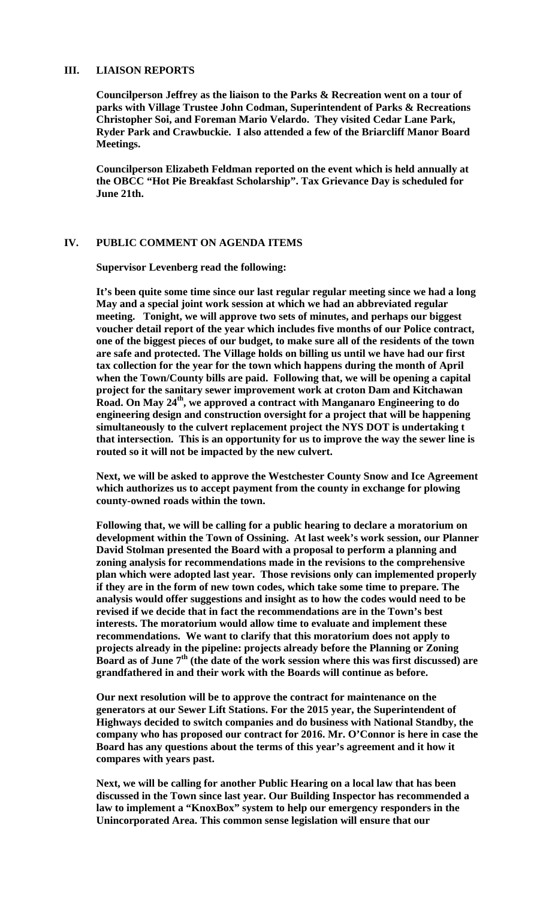## **III. LIAISON REPORTS**

**Councilperson Jeffrey as the liaison to the Parks & Recreation went on a tour of parks with Village Trustee John Codman, Superintendent of Parks & Recreations Christopher Soi, and Foreman Mario Velardo. They visited Cedar Lane Park, Ryder Park and Crawbuckie. I also attended a few of the Briarcliff Manor Board Meetings.** 

**Councilperson Elizabeth Feldman reported on the event which is held annually at the OBCC "Hot Pie Breakfast Scholarship". Tax Grievance Day is scheduled for June 21th.** 

#### **IV. PUBLIC COMMENT ON AGENDA ITEMS**

**Supervisor Levenberg read the following:** 

**It's been quite some time since our last regular regular meeting since we had a long May and a special joint work session at which we had an abbreviated regular meeting. Tonight, we will approve two sets of minutes, and perhaps our biggest voucher detail report of the year which includes five months of our Police contract, one of the biggest pieces of our budget, to make sure all of the residents of the town are safe and protected. The Village holds on billing us until we have had our first tax collection for the year for the town which happens during the month of April when the Town/County bills are paid. Following that, we will be opening a capital project for the sanitary sewer improvement work at croton Dam and Kitchawan Road. On May 24th, we approved a contract with Manganaro Engineering to do engineering design and construction oversight for a project that will be happening simultaneously to the culvert replacement project the NYS DOT is undertaking t that intersection. This is an opportunity for us to improve the way the sewer line is routed so it will not be impacted by the new culvert.** 

**Next, we will be asked to approve the Westchester County Snow and Ice Agreement which authorizes us to accept payment from the county in exchange for plowing county-owned roads within the town.** 

**Following that, we will be calling for a public hearing to declare a moratorium on development within the Town of Ossining. At last week's work session, our Planner David Stolman presented the Board with a proposal to perform a planning and zoning analysis for recommendations made in the revisions to the comprehensive plan which were adopted last year. Those revisions only can implemented properly if they are in the form of new town codes, which take some time to prepare. The analysis would offer suggestions and insight as to how the codes would need to be revised if we decide that in fact the recommendations are in the Town's best interests. The moratorium would allow time to evaluate and implement these recommendations. We want to clarify that this moratorium does not apply to projects already in the pipeline: projects already before the Planning or Zoning Board as of June 7th (the date of the work session where this was first discussed) are grandfathered in and their work with the Boards will continue as before.** 

**Our next resolution will be to approve the contract for maintenance on the generators at our Sewer Lift Stations. For the 2015 year, the Superintendent of Highways decided to switch companies and do business with National Standby, the company who has proposed our contract for 2016. Mr. O'Connor is here in case the Board has any questions about the terms of this year's agreement and it how it compares with years past.** 

**Next, we will be calling for another Public Hearing on a local law that has been discussed in the Town since last year. Our Building Inspector has recommended a law to implement a "KnoxBox" system to help our emergency responders in the Unincorporated Area. This common sense legislation will ensure that our**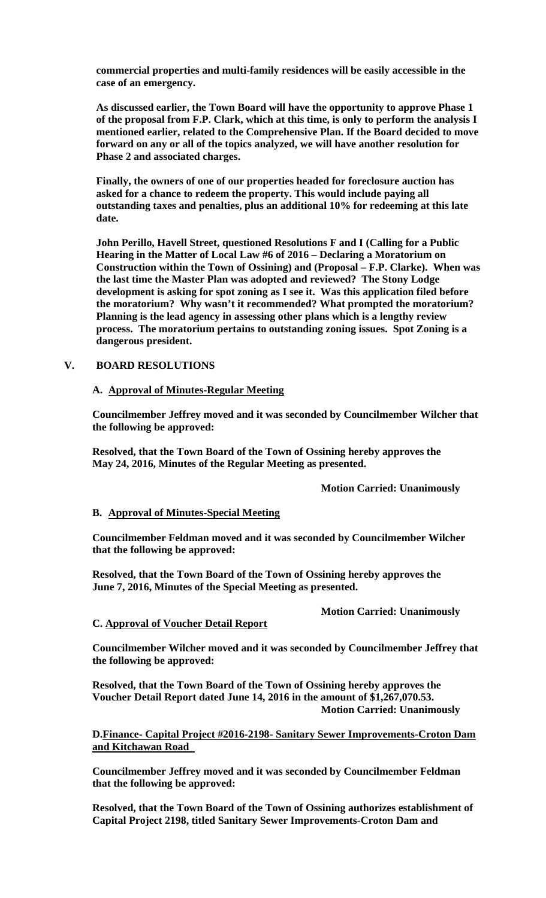**commercial properties and multi-family residences will be easily accessible in the case of an emergency.** 

**As discussed earlier, the Town Board will have the opportunity to approve Phase 1 of the proposal from F.P. Clark, which at this time, is only to perform the analysis I mentioned earlier, related to the Comprehensive Plan. If the Board decided to move forward on any or all of the topics analyzed, we will have another resolution for Phase 2 and associated charges.** 

**Finally, the owners of one of our properties headed for foreclosure auction has asked for a chance to redeem the property. This would include paying all outstanding taxes and penalties, plus an additional 10% for redeeming at this late date.** 

**John Perillo, Havell Street, questioned Resolutions F and I (Calling for a Public Hearing in the Matter of Local Law #6 of 2016 – Declaring a Moratorium on Construction within the Town of Ossining) and (Proposal – F.P. Clarke). When was the last time the Master Plan was adopted and reviewed? The Stony Lodge development is asking for spot zoning as I see it. Was this application filed before the moratorium? Why wasn't it recommended? What prompted the moratorium? Planning is the lead agency in assessing other plans which is a lengthy review process. The moratorium pertains to outstanding zoning issues. Spot Zoning is a dangerous president.** 

#### **V. BOARD RESOLUTIONS**

#### **A. Approval of Minutes-Regular Meeting**

**Councilmember Jeffrey moved and it was seconded by Councilmember Wilcher that the following be approved:** 

**Resolved, that the Town Board of the Town of Ossining hereby approves the May 24, 2016, Minutes of the Regular Meeting as presented.** 

 **Motion Carried: Unanimously** 

## **B. Approval of Minutes-Special Meeting**

**Councilmember Feldman moved and it was seconded by Councilmember Wilcher that the following be approved:** 

**Resolved, that the Town Board of the Town of Ossining hereby approves the June 7, 2016, Minutes of the Special Meeting as presented.** 

 **Motion Carried: Unanimously** 

#### **C. Approval of Voucher Detail Report**

**Councilmember Wilcher moved and it was seconded by Councilmember Jeffrey that the following be approved:** 

**Resolved, that the Town Board of the Town of Ossining hereby approves the Voucher Detail Report dated June 14, 2016 in the amount of \$1,267,070.53. Motion Carried: Unanimously**

**D.Finance- Capital Project #2016-2198- Sanitary Sewer Improvements-Croton Dam and Kitchawan Road** 

**Councilmember Jeffrey moved and it was seconded by Councilmember Feldman that the following be approved:** 

**Resolved, that the Town Board of the Town of Ossining authorizes establishment of Capital Project 2198, titled Sanitary Sewer Improvements-Croton Dam and**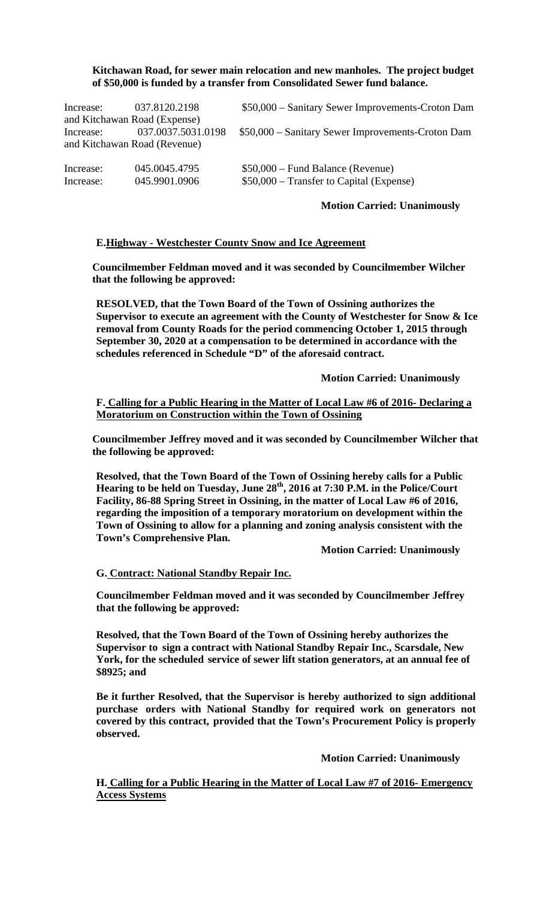### **Kitchawan Road, for sewer main relocation and new manholes. The project budget of \$50,000 is funded by a transfer from Consolidated Sewer fund balance.**

| Increase:              | 037.8120.2198<br>and Kitchawan Road (Expense)      | \$50,000 – Sanitary Sewer Improvements-Croton Dam                              |
|------------------------|----------------------------------------------------|--------------------------------------------------------------------------------|
| Increase:              | 037.0037.5031.0198<br>and Kitchawan Road (Revenue) | \$50,000 – Sanitary Sewer Improvements-Croton Dam                              |
| Increase:<br>Increase: | 045.0045.4795<br>045.9901.0906                     | $$50,000 - Fund Balance$ (Revenue)<br>\$50,000 – Transfer to Capital (Expense) |

### **Motion Carried: Unanimously**

## **E.Highway - Westchester County Snow and Ice Agreement**

**Councilmember Feldman moved and it was seconded by Councilmember Wilcher that the following be approved:** 

**RESOLVED, that the Town Board of the Town of Ossining authorizes the Supervisor to execute an agreement with the County of Westchester for Snow & Ice removal from County Roads for the period commencing October 1, 2015 through September 30, 2020 at a compensation to be determined in accordance with the schedules referenced in Schedule "D" of the aforesaid contract.** 

 **Motion Carried: Unanimously**

**F. Calling for a Public Hearing in the Matter of Local Law #6 of 2016- Declaring a Moratorium on Construction within the Town of Ossining**

**Councilmember Jeffrey moved and it was seconded by Councilmember Wilcher that the following be approved:** 

**Resolved, that the Town Board of the Town of Ossining hereby calls for a Public Hearing to be held on Tuesday, June 28th, 2016 at 7:30 P.M. in the Police/Court Facility, 86-88 Spring Street in Ossining, in the matter of Local Law #6 of 2016, regarding the imposition of a temporary moratorium on development within the Town of Ossining to allow for a planning and zoning analysis consistent with the Town's Comprehensive Plan.** 

 **Motion Carried: Unanimously**

**G. Contract: National Standby Repair Inc.**

**Councilmember Feldman moved and it was seconded by Councilmember Jeffrey that the following be approved:** 

**Resolved, that the Town Board of the Town of Ossining hereby authorizes the Supervisor to sign a contract with National Standby Repair Inc., Scarsdale, New York, for the scheduled service of sewer lift station generators, at an annual fee of \$8925; and**

**Be it further Resolved, that the Supervisor is hereby authorized to sign additional purchase orders with National Standby for required work on generators not covered by this contract, provided that the Town's Procurement Policy is properly observed.** 

 **Motion Carried: Unanimously** 

**H. Calling for a Public Hearing in the Matter of Local Law #7 of 2016- Emergency Access Systems**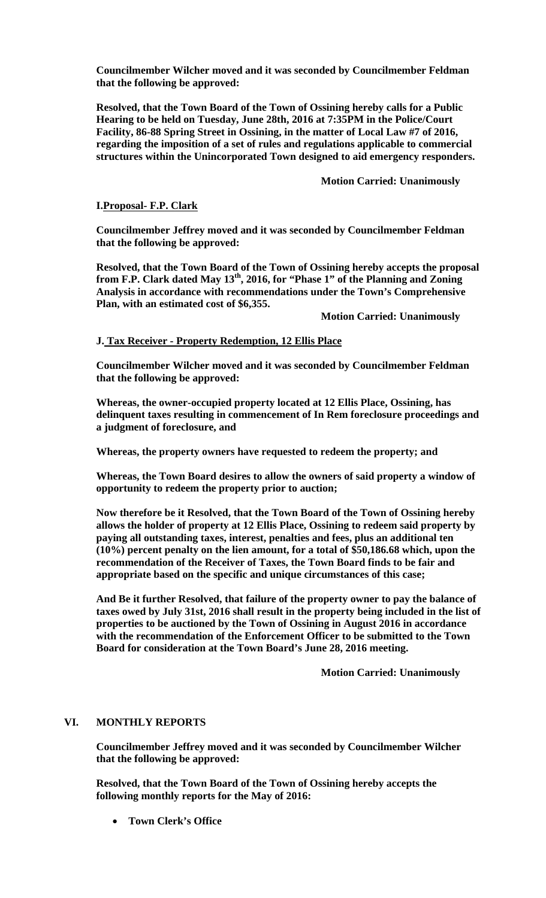**Councilmember Wilcher moved and it was seconded by Councilmember Feldman that the following be approved:** 

**Resolved, that the Town Board of the Town of Ossining hereby calls for a Public Hearing to be held on Tuesday, June 28th, 2016 at 7:35PM in the Police/Court Facility, 86-88 Spring Street in Ossining, in the matter of Local Law #7 of 2016, regarding the imposition of a set of rules and regulations applicable to commercial structures within the Unincorporated Town designed to aid emergency responders.** 

### **Motion Carried: Unanimously**

#### **I.Proposal- F.P. Clark**

**Councilmember Jeffrey moved and it was seconded by Councilmember Feldman that the following be approved:** 

**Resolved, that the Town Board of the Town of Ossining hereby accepts the proposal**  from F.P. Clark dated May 13<sup>th</sup>, 2016, for "Phase 1" of the Planning and Zoning **Analysis in accordance with recommendations under the Town's Comprehensive Plan, with an estimated cost of \$6,355.** 

 **Motion Carried: Unanimously** 

#### **J. Tax Receiver - Property Redemption, 12 Ellis Place**

**Councilmember Wilcher moved and it was seconded by Councilmember Feldman that the following be approved:** 

**Whereas, the owner-occupied property located at 12 Ellis Place, Ossining, has delinquent taxes resulting in commencement of In Rem foreclosure proceedings and a judgment of foreclosure, and** 

**Whereas, the property owners have requested to redeem the property; and** 

**Whereas, the Town Board desires to allow the owners of said property a window of opportunity to redeem the property prior to auction;** 

**Now therefore be it Resolved, that the Town Board of the Town of Ossining hereby allows the holder of property at 12 Ellis Place, Ossining to redeem said property by paying all outstanding taxes, interest, penalties and fees, plus an additional ten (10%) percent penalty on the lien amount, for a total of \$50,186.68 which, upon the recommendation of the Receiver of Taxes, the Town Board finds to be fair and appropriate based on the specific and unique circumstances of this case;** 

**And Be it further Resolved, that failure of the property owner to pay the balance of taxes owed by July 31st, 2016 shall result in the property being included in the list of properties to be auctioned by the Town of Ossining in August 2016 in accordance with the recommendation of the Enforcement Officer to be submitted to the Town Board for consideration at the Town Board's June 28, 2016 meeting.** 

 **Motion Carried: Unanimously** 

## **VI. MONTHLY REPORTS**

**Councilmember Jeffrey moved and it was seconded by Councilmember Wilcher that the following be approved:** 

**Resolved, that the Town Board of the Town of Ossining hereby accepts the following monthly reports for the May of 2016:** 

**Town Clerk's Office**